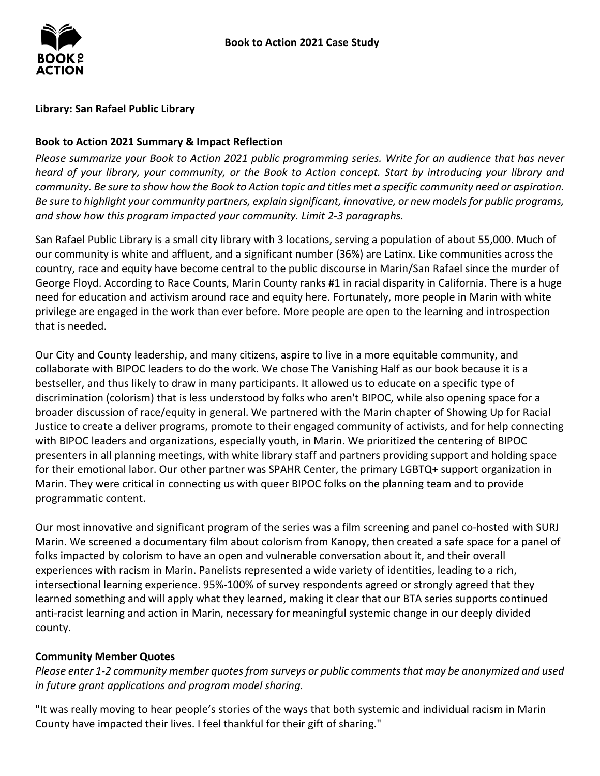

#### **Library: San Rafael Public Library**

### **Book to Action 2021 Summary & Impact Reflection**

*Please summarize your Book to Action 2021 public programming series. Write for an audience that has never heard of your library, your community, or the Book to Action concept. Start by introducing your library and community. Be sure to show how the Book to Action topic and titles met a specific community need or aspiration. Be sure to highlight your community partners, explain significant, innovative, or new models for public programs, and show how this program impacted your community. Limit 2-3 paragraphs.* 

 our community is white and affluent, and a significant number (36%) are Latinx. Like communities across the country, race and equity have become central to the public discourse in Marin/San Rafael since the murder of privilege are engaged in the work than ever before. More people are open to the learning and introspection San Rafael Public Library is a small city library with 3 locations, serving a population of about 55,000. Much of George Floyd. According to Race Counts, Marin County ranks #1 in racial disparity in California. There is a huge need for education and activism around race and equity here. Fortunately, more people in Marin with white that is needed.

 collaborate with BIPOC leaders to do the work. We chose The Vanishing Half as our book because it is a bestseller, and thus likely to draw in many participants. It allowed us to educate on a specific type of broader discussion of race/equity in general. We partnered with the Marin chapter of Showing Up for Racial Justice to create a deliver programs, promote to their engaged community of activists, and for help connecting presenters in all planning meetings, with white library staff and partners providing support and holding space Marin. They were critical in connecting us with queer BIPOC folks on the planning team and to provide Our City and County leadership, and many citizens, aspire to live in a more equitable community, and discrimination (colorism) that is less understood by folks who aren't BIPOC, while also opening space for a with BIPOC leaders and organizations, especially youth, in Marin. We prioritized the centering of BIPOC for their emotional labor. Our other partner was SPAHR Center, the primary LGBTQ+ support organization in programmatic content.

 Our most innovative and significant program of the series was a film screening and panel co-hosted with SURJ Marin. We screened a documentary film about colorism from Kanopy, then created a safe space for a panel of experiences with racism in Marin. Panelists represented a wide variety of identities, leading to a rich, learned something and will apply what they learned, making it clear that our BTA series supports continued anti-racist learning and action in Marin, necessary for meaningful systemic change in our deeply divided folks impacted by colorism to have an open and vulnerable conversation about it, and their overall intersectional learning experience. 95%-100% of survey respondents agreed or strongly agreed that they county.

# **Community Member Quotes**

*Please enter 1-2 community member quotes from surveys or public comments that may be anonymized and used in future grant applications and program model sharing.* 

 "It was really moving to hear people's stories of the ways that both systemic and individual racism in Marin County have impacted their lives. I feel thankful for their gift of sharing."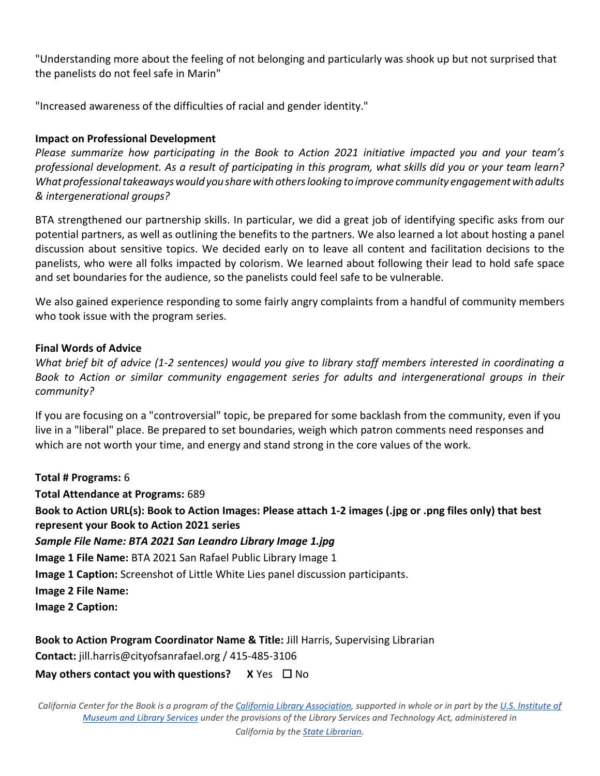"Understanding more about the feeling of not belonging and particularly was shook up but not surprised that the panelists do not feel safe in Marin"

"Increased awareness of the difficulties of racial and gender identity."

# **Impact on Professional Development**

 *What professional takeaways would you share with others looking to improve community engagement with adults & intergenerational groups? Please summarize how participating in the Book to Action 2021 initiative impacted you and your team's professional development. As a result of participating in this program, what skills did you or your team learn?* 

 discussion about sensitive topics. We decided early on to leave all content and facilitation decisions to the panelists, who were all folks impacted by colorism. We learned about following their lead to hold safe space BTA strengthened our partnership skills. In particular, we did a great job of identifying specific asks from our potential partners, as well as outlining the benefits to the partners. We also learned a lot about hosting a panel and set boundaries for the audience, so the panelists could feel safe to be vulnerable.

 We also gained experience responding to some fairly angry complaints from a handful of community members who took issue with the program series.

# **Final Words of Advice**

 *What brief bit of advice (1-2 sentences) would you give to library staff members interested in coordinating a Book to Action or similar community engagement series for adults and intergenerational groups in their community?* 

 If you are focusing on a "controversial" topic, be prepared for some backlash from the community, even if you live in a "liberal" place. Be prepared to set boundaries, weigh which patron comments need responses and which are not worth your time, and energy and stand strong in the core values of the work.

**Total # Programs:** 6

**Total Attendance at Programs:** 689

 **Book to Action URL(s): Book to Action Images: Please attach 1-2 images (.jpg or .png files only) that best represent your Book to Action 2021 series** 

 *Sample File Name: BTA 2021 San Leandro Library Image 1.jpg* 

**Image 1 File Name:** BTA 2021 San Rafael Public Library Image 1

**Image 1 Caption:** Screenshot of Little White Lies panel discussion participants.

**Image 2 File Name:** 

**Image 2 Caption:** 

**Book to Action Program Coordinator Name & Title: Jill Harris, Supervising Librarian** 

**Contact:** jill.harris@cityofsanrafael.org / 415-485-3106

# **May others contact you with questions?** X Yes □ No

 *California Center for the Book is a program of th[e California Library Association,](http://www.cla-net.org/) supported in whole or in part by th[e U.S. Institute of](http://www.imls.gov/)  [Museum and Library Services u](http://www.imls.gov/)nder the provisions of the Library Services and Technology Act, administered in*